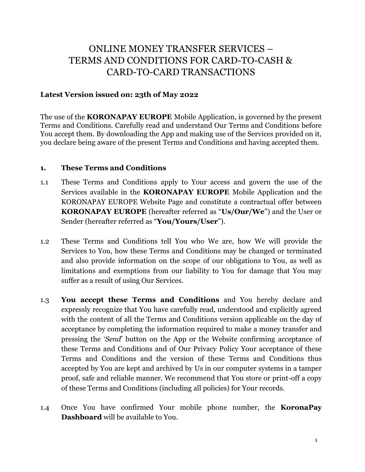# ONLINE MONEY TRANSFER SERVICES – TERMS AND CONDITIONS FOR CARD-TO-CASH & CARD-TO-CARD TRANSACTIONS

### **Latest Version issued on: 23th of May 2022**

The use of the **KORONAPAY EUROPE** Mobile Application, is governed by the present Terms and Conditions. Carefully read and understand Our Terms and Conditions before You accept them. By downloading the App and making use of the Services provided on it, you declare being aware of the present Terms and Conditions and having accepted them.

#### **1. These Terms and Conditions**

- 1.1 These Terms and Conditions apply to Your access and govern the use of the Services available in the **KORONAPAY EUROPE** Mobile Application and the KORONAPAY EUROPE Website Page and constitute a contractual offer between **KORONAPAY EUROPE** (hereafter referred as "**Us/Our/We**") and the User or Sender (hereafter referred as "**You/Yours/User**").
- 1.2 These Terms and Conditions tell You who We are, how We will provide the Services to You, how these Terms and Conditions may be changed or terminated and also provide information on the scope of our obligations to You, as well as limitations and exemptions from our liability to You for damage that You may suffer as a result of using Our Services.
- 1.3 **You accept these Terms and Conditions** and You hereby declare and expressly recognize that You have carefully read, understood and explicitly agreed with the content of all the Terms and Conditions version applicable on the day of acceptance by completing the information required to make a money transfer and pressing the '*Send*' button on the App or the Website confirming acceptance of these Terms and Conditions and of Our Privacy Policy Your acceptance of these Terms and Conditions and the version of these Terms and Conditions thus accepted by You are kept and archived by Us in our computer systems in a tamper proof, safe and reliable manner. We recommend that You store or print-off a copy of these Terms and Conditions (including all policies) for Your records.
- 1.4 Once You have confirmed Your mobile phone number, the **KoronaPay Dashboard** will be available to You.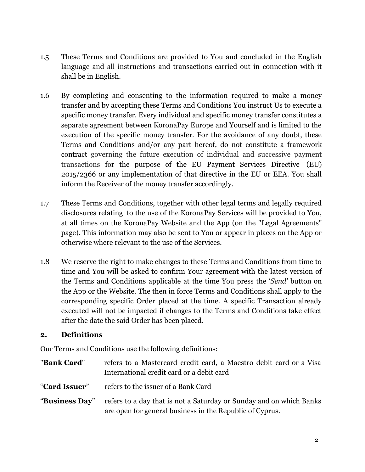- 1.5 These Terms and Conditions are provided to You and concluded in the English language and all instructions and transactions carried out in connection with it shall be in English.
- 1.6 By completing and consenting to the information required to make a money transfer and by accepting these Terms and Conditions You instruct Us to execute a specific money transfer. Every individual and specific money transfer constitutes a separate agreement between KoronaPay Europe and Yourself and is limited to the execution of the specific money transfer. For the avoidance of any doubt, these Terms and Conditions and/or any part hereof, do not constitute a framework contract governing the future execution of individual and successive payment transactions for the purpose of the EU Payment Services Directive (EU) 2015/2366 or any implementation of that directive in the EU or EEA. You shall inform the Receiver of the money transfer accordingly.
- 1.7 These Terms and Conditions, together with other legal terms and legally required disclosures relating to the use of the KoronaPay Services will be provided to You, at all times on the KoronaPay Website and the App (on the "Legal Agreements" page). This information may also be sent to You or appear in places on the App or otherwise where relevant to the use of the Services.
- 1.8 We reserve the right to make changes to these Terms and Conditions from time to time and You will be asked to confirm Your agreement with the latest version of the Terms and Conditions applicable at the time You press the '*Send'* button on the App or the Website. The then in force Terms and Conditions shall apply to the corresponding specific Order placed at the time. A specific Transaction already executed will not be impacted if changes to the Terms and Conditions take effect after the date the said Order has been placed.

# **2. Definitions**

Our Terms and Conditions use the following definitions:

"**Bank Card**" refers to a Mastercard credit card, a Maestro debit card or a Visa International credit card or a debit card "**Card Issuer**" refers to the issuer of a Bank Card "**Business Day**" refers to a day that is not a Saturday or Sunday and on which Banks are open for general business in the Republic of Cyprus.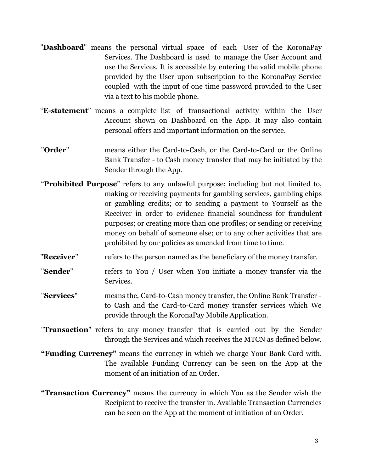- "**Dashboard**" means the personal virtual space of each User of the KoronaPay Services. The Dashboard is used to manage the User Account and use the Services. It is accessible by entering the valid mobile phone provided by the User upon subscription to the KoronaPay Service coupled with the input of one time password provided to the User via a text to his mobile phone.
- "**E-statement**" means a complete list of transactional activity within the User Account shown on Dashboard on the App. It may also contain personal offers and important information on the service.
- "**Order**" means either the Card-to-Cash, or the Card-to-Card or the Online Bank Transfer - to Cash money transfer that may be initiated by the Sender through the App.
- "**Prohibited Purpose**" refers to any unlawful purpose; including but not limited to, making or receiving payments for gambling services, gambling chips or gambling credits; or to sending a payment to Yourself as the Receiver in order to evidence financial soundness for fraudulent purposes; or creating more than one profiles; or sending or receiving money on behalf of someone else; or to any other activities that are prohibited by our policies as amended from time to time.
- "**Receiver**" refers to the person named as the beneficiary of the money transfer.
- "**Sender**" refers to You / User when You initiate a money transfer via the Services.
- "**Services**" means the, Card-to-Cash money transfer, the Online Bank Transfer to Cash and the Card-to-Card money transfer services which We provide through the KoronaPay Mobile Application.
- "**Transaction**" refers to any money transfer that is carried out by the Sender through the Services and which receives the MTCN as defined below.
- **"Funding Currency"** means the currency in which we charge Your Bank Card with. The available Funding Currency can be seen on the App at the moment of an initiation of an Order.
- **"Transaction Currency"** means the currency in which You as the Sender wish the Recipient to receive the transfer in. Available Transaction Currencies can be seen on the App at the moment of initiation of an Order.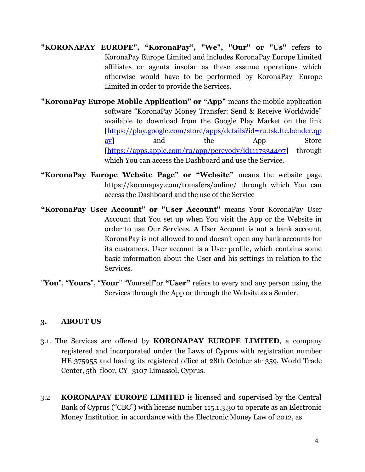- **"KORONAPAY EUROPE", "KoronaPay", "We", "Our" or "Us"** refers to KoronaPay Europe Limited and includes KoronaPay Europe Limited affiliates or agents insofar as these assume operations which otherwise would have to be performed by KoronaPay Europe Limited in order to provide the Services.
- **"KoronaPay Europe Mobile Application" or "App"** means the mobile application software "KoronaPay Money Transfer: Send & Receive Worldwide" available to download from the Google Play Market on the link [\[https://play.google.com/store/apps/details?id=ru.tsk.ftc.bender.qp](https://play.google.com/store/apps/details?id=ru.tsk.ftc.bender.qpay) [ay\]](https://play.google.com/store/apps/details?id=ru.tsk.ftc.bender.qpay) and the App Store [\[https://apps.apple.com/ru/app/perevody/id1117334497\]](https://apps.apple.com/ru/app/perevody/id1117334497) through which You can access the Dashboard and use the Service.
- **"KoronaPay Europe Website Page" or "Website"** means the website page https://koronapay.com/transfers/online/ through which You can access the Dashboard and the use of the Service
- **"KoronaPay User Account" or "User Account"** means Your KoronaPay User Account that You set up when You visit the App or the Website in order to use Our Services. A User Account is not a bank account. KoronaPay is not allowed to and doesn't open any bank accounts for its customers. User account is a User profile, which contains some basic information about the User and his settings in relation to the Services.
- "**You**", "**Yours**", "**Your**" "Yourself"or **"User"** refers to every and any person using the Services through the App or through the Website as a Sender.

# **3. ABOUT US**

- 3.1. The Services are offered by **KORONAPAY EUROPE LIMITED**, a company registered and incorporated under the Laws of Cyprus with registration number HE 375955 and having its registered office at 28th October str 359, World Trade Center, 5th floor, CY–3107 Limassol, Cyprus.
- 3.2 **KORONAPAY EUROPE LIMITED** is licensed and supervised by the Central Bank of Cyprus ("CBC") with license number 115.1.3.30 to operate as an Electronic Money Institution in accordance with the Electronic Money Law of 2012, as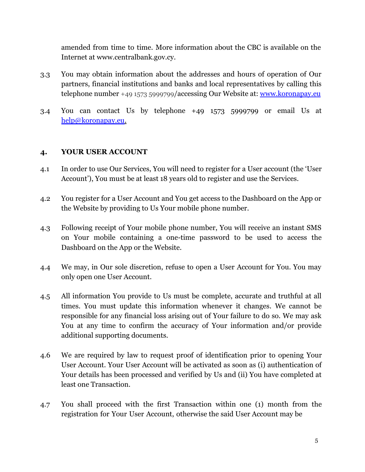amended from time to time. More information about the CBC is available on the Internet at [www.centralbank.gov.cy.](http://www.centralbank.gov.cy/)

- 3.3 You may obtain information about the addresses and hours of operation of Our partners, financial institutions and banks and local representatives by calling this telephone number +49 1573 5999799/accessing Our Website at: [www.koronapay.eu](http://www.koronapay.eu/)
- 3.4 You can contact Us by telephone +49 1573 5999799 or email Us at [help@koronapay.eu.](mailto:help@koronapay.eu)

# **4. YOUR USER ACCOUNT**

- 4.1 In order to use Our Services, You will need to register for a User account (the 'User Account'), You must be at least 18 years old to register and use the Services.
- 4.2 You register for a User Account and You get access to the Dashboard on the App or the Website by providing to Us Your mobile phone number.
- 4.3 Following receipt of Your mobile phone number, You will receive an instant SMS on Your mobile containing a one-time password to be used to access the Dashboard on the App or the Website.
- 4.4 We may, in Our sole discretion, refuse to open a User Account for You. You may only open one User Account.
- 4.5 All information You provide to Us must be complete, accurate and truthful at all times. You must update this information whenever it changes. We cannot be responsible for any financial loss arising out of Your failure to do so. We may ask You at any time to confirm the accuracy of Your information and/or provide additional supporting documents.
- 4.6 We are required by law to request proof of identification prior to opening Your User Account. Your User Account will be activated as soon as (i) authentication of Your details has been processed and verified by Us and (ii) You have completed at least one Transaction.
- 4.7 You shall proceed with the first Transaction within one (1) month from the registration for Your User Account, otherwise the said User Account may be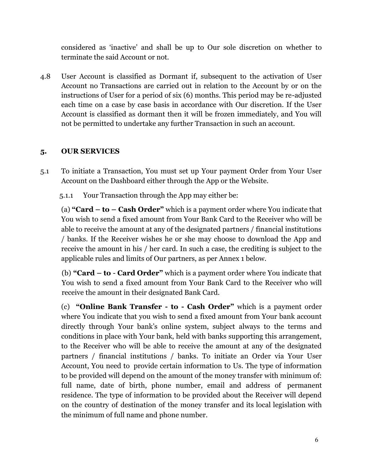considered as 'inactive' and shall be up to Our sole discretion on whether to terminate the said Account or not.

4.8 User Account is classified as Dormant if, subsequent to the activation of User Account no Transactions are carried out in relation to the Account by or on the instructions of User for a period of six (6) months. This period may be re-adjusted each time on a case by case basis in accordance with Our discretion. If the User Account is classified as dormant then it will be frozen immediately, and You will not be permitted to undertake any further Transaction in such an account.

# **5. OUR SERVICES**

- 5.1 To initiate a Transaction, You must set up Your payment Order from Your User Account on the Dashboard either through the App or the Website.
	- 5.1.1 Your Transaction through the App may either be:

(a) **"Card – to – Cash Order"** which is a payment order where You indicate that You wish to send a fixed amount from Your Bank Card to the Receiver who will be able to receive the amount at any of the designated partners / financial institutions / banks. If the Receiver wishes he or she may choose to download the App and receive the amount in his / her card. In such a case, the crediting is subject to the applicable rules and limits of Our partners, as per Annex 1 below.

(b) **"Card – to** - **Card Order"** which is a payment order where You indicate that You wish to send a fixed amount from Your Bank Card to the Receiver who will receive the amount in their designated Bank Card.

(c) **"Online Bank Transfer - to - Cash Order"** which is a payment order where You indicate that you wish to send a fixed amount from Your bank account directly through Your bank's online system, subject always to the terms and conditions in place with Your bank, held with banks supporting this arrangement, to the Receiver who will be able to receive the amount at any of the designated partners / financial institutions / banks. To initiate an Order via Your User Account, You need to provide certain information to Us. The type of information to be provided will depend on the amount of the money transfer with minimum of: full name, date of birth, phone number, email and address of permanent residence. The type of information to be provided about the Receiver will depend on the country of destination of the money transfer and its local legislation with the minimum of full name and phone number.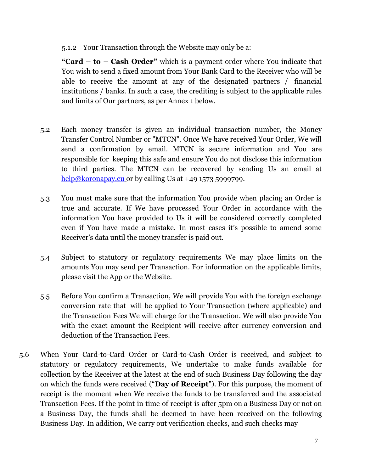5.1.2 Your Transaction through the Website may only be a:

**"Card – to – Cash Order"** which is a payment order where You indicate that You wish to send a fixed amount from Your Bank Card to the Receiver who will be able to receive the amount at any of the designated partners / financial institutions / banks. In such a case, the crediting is subject to the applicable rules and limits of Our partners, as per Annex 1 below.

- 5.2 Each money transfer is given an individual transaction number, the Money Transfer Control Number or "MTCN". Once We have received Your Order, We will send a confirmation by email. MTCN is secure information and You are responsible for keeping this safe and ensure You do not disclose this information to third parties. The MTCN can be recovered by sending Us an email at  $help@koronapay.eu$  or by calling Us at +49 1573 5999799.
- 5.3 You must make sure that the information You provide when placing an Order is true and accurate. If We have processed Your Order in accordance with the information You have provided to Us it will be considered correctly completed even if You have made a mistake. In most cases it's possible to amend some Receiver's data until the money transfer is paid out.
- 5.4 Subject to statutory or regulatory requirements We may place limits on the amounts You may send per Transaction. For information on the applicable limits, please visit the App or the Website.
- 5.5 Before You confirm a Transaction, We will provide You with the foreign exchange conversion rate that will be applied to Your Transaction (where applicable) and the Transaction Fees We will charge for the Transaction. We will also provide You with the exact amount the Recipient will receive after currency conversion and deduction of the Transaction Fees.
- 5.6 When Your Card-to-Card Order or Card-to-Cash Order is received, and subject to statutory or regulatory requirements, We undertake to make funds available for collection by the Receiver at the latest at the end of such Business Day following the day on which the funds were received ("**Day of Receipt**"). For this purpose, the moment of receipt is the moment when We receive the funds to be transferred and the associated Transaction Fees. If the point in time of receipt is after 5pm on a Business Day or not on a Business Day, the funds shall be deemed to have been received on the following Business Day. In addition, We carry out verification checks, and such checks may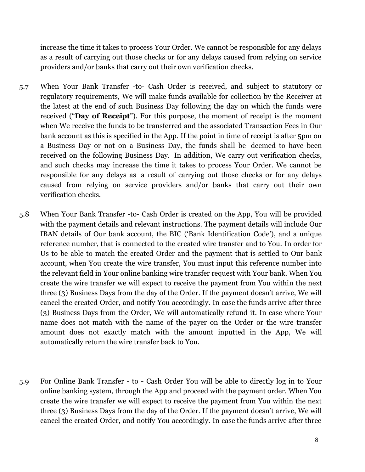increase the time it takes to process Your Order. We cannot be responsible for any delays as a result of carrying out those checks or for any delays caused from relying on service providers and/or banks that carry out their own verification checks.

- 5.7 When Your Bank Transfer -to- Cash Order is received, and subject to statutory or regulatory requirements, We will make funds available for collection by the Receiver at the latest at the end of such Business Day following the day on which the funds were received ("**Day of Receipt**"). For this purpose, the moment of receipt is the moment when We receive the funds to be transferred and the associated Transaction Fees in Our bank account as this is specified in the App. If the point in time of receipt is after 5pm on a Business Day or not on a Business Day, the funds shall be deemed to have been received on the following Business Day. In addition, We carry out verification checks, and such checks may increase the time it takes to process Your Order. We cannot be responsible for any delays as a result of carrying out those checks or for any delays caused from relying on service providers and/or banks that carry out their own verification checks.
- 5.8 When Your Bank Transfer -to- Cash Order is created on the App, You will be provided with the payment details and relevant instructions. The payment details will include Our IBAN details of Our bank account, the BIC ('Bank Identification Code'), and a unique reference number, that is connected to the created wire transfer and to You. In order for Us to be able to match the created Order and the payment that is settled to Our bank account, when You create the wire transfer, You must input this reference number into the relevant field in Your online banking wire transfer request with Your bank. When You create the wire transfer we will expect to receive the payment from You within the next three (3) Business Days from the day of the Order. If the payment doesn't arrive, We will cancel the created Order, and notify You accordingly. In case the funds arrive after three (3) Business Days from the Order, We will automatically refund it. In case where Your name does not match with the name of the payer on the Order or the wire transfer amount does not exactly match with the amount inputted in the App, We will automatically return the wire transfer back to You.
- 5.9 For Online Bank Transfer to Cash Order You will be able to directly log in to Your online banking system, through the App and proceed with the payment order. When You create the wire transfer we will expect to receive the payment from You within the next three (3) Business Days from the day of the Order. If the payment doesn't arrive, We will cancel the created Order, and notify You accordingly. In case the funds arrive after three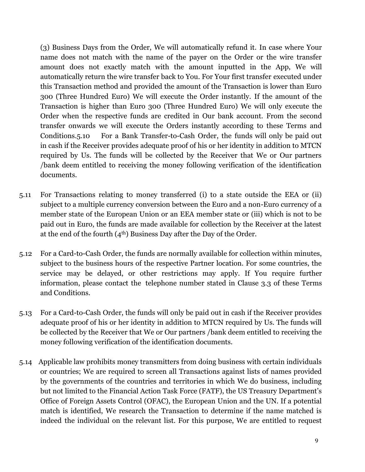(3) Business Days from the Order, We will automatically refund it. In case where Your name does not match with the name of the payer on the Order or the wire transfer amount does not exactly match with the amount inputted in the App, We will automatically return the wire transfer back to You. For Your first transfer executed under this Transaction method and provided the amount of the Transaction is lower than Euro 300 (Three Hundred Euro) We will execute the Order instantly. If the amount of the Transaction is higher than Euro 300 (Three Hundred Euro) We will only execute the Order when the respective funds are credited in Our bank account. From the second transfer onwards we will execute the Orders instantly according to these Terms and Conditions.5.10 For a Bank Transfer-to-Cash Order, the funds will only be paid out in cash if the Receiver provides adequate proof of his or her identity in addition to MTCN required by Us. The funds will be collected by the Receiver that We or Our partners /bank deem entitled to receiving the money following verification of the identification documents.

- 5.11 For Transactions relating to money transferred (i) to a state outside the EEA or (ii) subject to a multiple currency conversion between the Euro and a non-Euro currency of a member state of the European Union or an EEA member state or (iii) which is not to be paid out in Euro, the funds are made available for collection by the Receiver at the latest at the end of the fourth  $(4<sup>th</sup>)$  Business Day after the Day of the Order.
- 5.12 For a Card-to-Cash Order, the funds are normally available for collection within minutes, subject to the business hours of the respective Partner location. For some countries, the service may be delayed, or other restrictions may apply. If You require further information, please contact the telephone number stated in Clause 3.3 of these Terms and Conditions.
- 5.13 For a Card-to-Cash Order, the funds will only be paid out in cash if the Receiver provides adequate proof of his or her identity in addition to MTCN required by Us. The funds will be collected by the Receiver that We or Our partners /bank deem entitled to receiving the money following verification of the identification documents.
- 5.14 Applicable law prohibits money transmitters from doing business with certain individuals or countries; We are required to screen all Transactions against lists of names provided by the governments of the countries and territories in which We do business, including but not limited to the Financial Action Task Force (FATF), the US Treasury Department's Office of Foreign Assets Control (OFAC), the European Union and the UN. If a potential match is identified, We research the Transaction to determine if the name matched is indeed the individual on the relevant list. For this purpose, We are entitled to request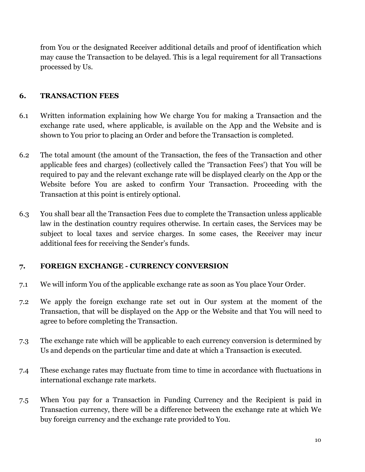from You or the designated Receiver additional details and proof of identification which may cause the Transaction to be delayed. This is a legal requirement for all Transactions processed by Us.

# **6. TRANSACTION FEES**

- 6.1 Written information explaining how We charge You for making a Transaction and the exchange rate used, where applicable, is available on the App and the Website and is shown to You prior to placing an Order and before the Transaction is completed.
- 6.2 The total amount (the amount of the Transaction, the fees of the Transaction and other applicable fees and charges) (collectively called the 'Transaction Fees') that You will be required to pay and the relevant exchange rate will be displayed clearly on the App or the Website before You are asked to confirm Your Transaction. Proceeding with the Transaction at this point is entirely optional.
- 6.3 You shall bear all the Transaction Fees due to complete the Transaction unless applicable law in the destination country requires otherwise. In certain cases, the Services may be subject to local taxes and service charges. In some cases, the Receiver may incur additional fees for receiving the Sender's funds.

# **7. FOREIGN EXCHANGE - CURRENCY CONVERSION**

- 7.1 We will inform You of the applicable exchange rate as soon as You place Your Order.
- 7.2 We apply the foreign exchange rate set out in Our system at the moment of the Transaction, that will be displayed on the App or the Website and that You will need to agree to before completing the Transaction.
- 7.3 The exchange rate which will be applicable to each currency conversion is determined by Us and depends on the particular time and date at which a Transaction is executed.
- 7.4 These exchange rates may fluctuate from time to time in accordance with fluctuations in international exchange rate markets.
- 7.5 When You pay for a Transaction in Funding Сurrency and the Recipient is paid in Transaction currency, there will be a difference between the exchange rate at which We buy foreign currency and the exchange rate provided to You.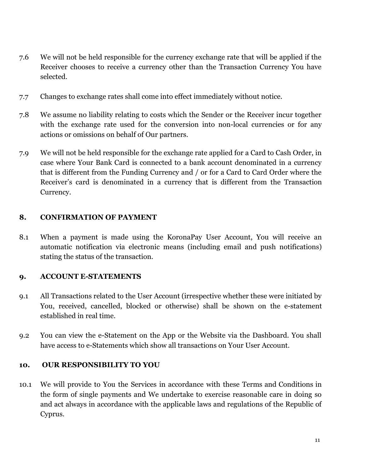- 7.6 We will not be held responsible for the currency exchange rate that will be applied if the Receiver chooses to receive a currency other than the Transaction Currency You have selected.
- 7.7 Changes to exchange rates shall come into effect immediately without notice.
- 7.8 We assume no liability relating to costs which the Sender or the Receiver incur together with the exchange rate used for the conversion into non-local currencies or for any actions or omissions on behalf of Our partners.
- 7.9 We will not be held responsible for the exchange rate applied for a Card to Cash Order, in case where Your Bank Card is connected to a bank account denominated in a currency that is different from the Funding Currency and / or for a Card to Card Order where the Receiver's card is denominated in a currency that is different from the Transaction Currency.

# **8. CONFIRMATION OF PAYMENT**

8.1 When a payment is made using the KoronaPay User Account, You will receive an automatic notification via electronic means (including email and push notifications) stating the status of the transaction.

# **9. ACCOUNT E-STATEMENTS**

- 9.1 All Transactions related to the User Account (irrespective whether these were initiated by You, received, cancelled, blocked or otherwise) shall be shown on the e-statement established in real time.
- 9.2 You can view the e-Statement on the App or the Website via the Dashboard. You shall have access to e-Statements which show all transactions on Your User Account.

# **10. OUR RESPONSIBILITY TO YOU**

10.1 We will provide to You the Services in accordance with these Terms and Conditions in the form of single payments and We undertake to exercise reasonable care in doing so and act always in accordance with the applicable laws and regulations of the Republic of Cyprus.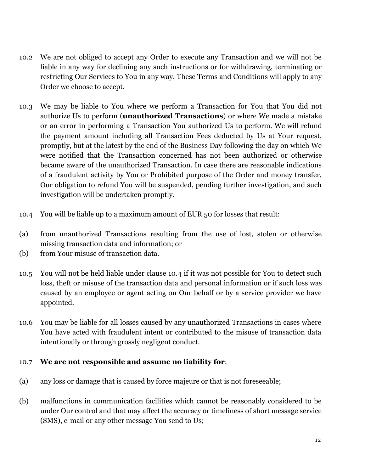- 10.2 We are not obliged to accept any Order to execute any Transaction and we will not be liable in any way for declining any such instructions or for withdrawing, terminating or restricting Our Services to You in any way. These Terms and Conditions will apply to any Order we choose to accept.
- 10.3 We may be liable to You where we perform a Transaction for You that You did not authorize Us to perform (**unauthorized Transactions**) or where We made a mistake or an error in performing a Transaction You authorized Us to perform. We will refund the payment amount including all Transaction Fees deducted by Us at Your request, promptly, but at the latest by the end of the Business Day following the day on which We were notified that the Transaction concerned has not been authorized or otherwise became aware of the unauthorized Transaction. In case there are reasonable indications of a fraudulent activity by You or Prohibited purpose of the Order and money transfer, Our obligation to refund You will be suspended, pending further investigation, and such investigation will be undertaken promptly.
- 10.4 You will be liable up to a maximum amount of EUR 50 for losses that result:
- (a) from unauthorized Transactions resulting from the use of lost, stolen or otherwise missing transaction data and information; or
- (b) from Your misuse of transaction data.
- 10.5 You will not be held liable under clause 10.4 if it was not possible for You to detect such loss, theft or misuse of the transaction data and personal information or if such loss was caused by an employee or agent acting on Our behalf or by a service provider we have appointed.
- 10.6 You may be liable for all losses caused by any unauthorized Transactions in cases where You have acted with fraudulent intent or contributed to the misuse of transaction data intentionally or through grossly negligent conduct.

# 10.7 **We are not responsible and assume no liability for**:

- (a) any loss or damage that is caused by force majeure or that is not foreseeable;
- (b) malfunctions in communication facilities which cannot be reasonably considered to be under Our control and that may affect the accuracy or timeliness of short message service (SMS), e-mail or any other message You send to Us;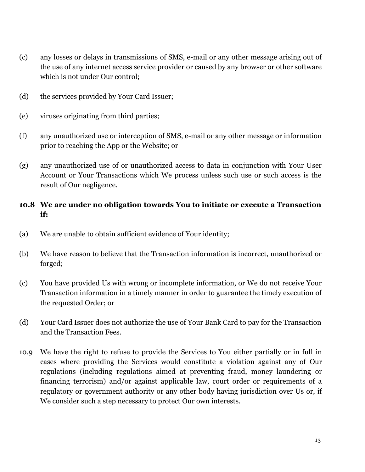- (c) any losses or delays in transmissions of SMS, e-mail or any other message arising out of the use of any internet access service provider or caused by any browser or other software which is not under Our control;
- (d) the services provided by Your Card Issuer;
- (e) viruses originating from third parties;
- (f) any unauthorized use or interception of SMS, e-mail or any other message or information prior to reaching the App or the Website; or
- (g) any unauthorized use of or unauthorized access to data in conjunction with Your User Account or Your Transactions which We process unless such use or such access is the result of Our negligence.

# **10.8 We are under no obligation towards You to initiate or execute a Transaction if:**

- (a) We are unable to obtain sufficient evidence of Your identity;
- (b) We have reason to believe that the Transaction information is incorrect, unauthorized or forged;
- (c) You have provided Us with wrong or incomplete information, or We do not receive Your Transaction information in a timely manner in order to guarantee the timely execution of the requested Order; or
- (d) Your Card Issuer does not authorize the use of Your Bank Card to pay for the Transaction and the Transaction Fees.
- 10.9 We have the right to refuse to provide the Services to You either partially or in full in cases where providing the Services would constitute a violation against any of Our regulations (including regulations aimed at preventing fraud, money laundering or financing terrorism) and/or against applicable law, court order or requirements of a regulatory or government authority or any other body having jurisdiction over Us or, if We consider such a step necessary to protect Our own interests.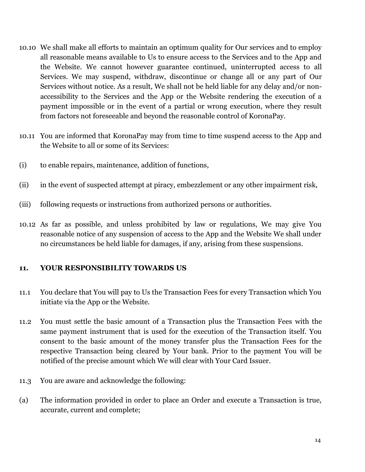- 10.10 We shall make all efforts to maintain an optimum quality for Our services and to employ all reasonable means available to Us to ensure access to the Services and to the App and the Website. We cannot however guarantee continued, uninterrupted access to all Services. We may suspend, withdraw, discontinue or change all or any part of Our Services without notice. As a result, We shall not be held liable for any delay and/or nonaccessibility to the Services and the App or the Website rendering the execution of a payment impossible or in the event of a partial or wrong execution, where they result from factors not foreseeable and beyond the reasonable control of KoronaPay.
- 10.11 You are informed that KoronaPay may from time to time suspend access to the App and the Website to all or some of its Services:
- (i) to enable repairs, maintenance, addition of functions,
- (ii) in the event of suspected attempt at piracy, embezzlement or any other impairment risk,
- (iii) following requests or instructions from authorized persons or authorities.
- 10.12 As far as possible, and unless prohibited by law or regulations, We may give You reasonable notice of any suspension of access to the App and the Website We shall under no circumstances be held liable for damages, if any, arising from these suspensions.

#### **11. YOUR RESPONSIBILITY TOWARDS US**

- 11.1 You declare that You will pay to Us the Transaction Fees for every Transaction which You initiate via the App or the Website.
- 11.2 You must settle the basic amount of a Transaction plus the Transaction Fees with the same payment instrument that is used for the execution of the Transaction itself. You consent to the basic amount of the money transfer plus the Transaction Fees for the respective Transaction being cleared by Your bank. Prior to the payment You will be notified of the precise amount which We will clear with Your Card Issuer.
- 11.3 You are aware and acknowledge the following:
- (a) The information provided in order to place an Order and execute a Transaction is true, accurate, current and complete;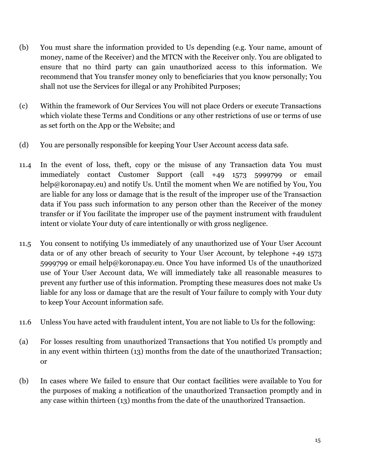- (b) You must share the information provided to Us depending (e.g. Your name, amount of money, name of the Receiver) and the MTCN with the Receiver only. You are obligated to ensure that no third party can gain unauthorized access to this information. We recommend that You transfer money only to beneficiaries that you know personally; You shall not use the Services for illegal or any Prohibited Purposes;
- (c) Within the framework of Our Services You will not place Orders or execute Transactions which violate these Terms and Conditions or any other restrictions of use or terms of use as set forth on the App or the Website; and
- (d) You are personally responsible for keeping Your User Account access data safe.
- 11.4 In the event of loss, theft, copy or the misuse of any Transaction data You must immediately contact Customer Support (call +49 1573 5999799 or email help@koronapay.eu) and notify Us. Until the moment when We are notified by You, You are liable for any loss or damage that is the result of the improper use of the Transaction data if You pass such information to any person other than the Receiver of the money transfer or if You facilitate the improper use of the payment instrument with fraudulent intent or violate Your duty of care intentionally or with gross negligence.
- 11.5 You consent to notifying Us immediately of any unauthorized use of Your User Account data or of any other breach of security to Your User Account, by telephone +49 1573 5999799 or email [help@koronapay.eu.](mailto:help@koronapay.eu) Once You have informed Us of the unauthorized use of Your User Account data, We will immediately take all reasonable measures to prevent any further use of this information. Prompting these measures does not make Us liable for any loss or damage that are the result of Your failure to comply with Your duty to keep Your Account information safe.
- 11.6 Unless You have acted with fraudulent intent, You are not liable to Us for the following:
- (a) For losses resulting from unauthorized Transactions that You notified Us promptly and in any event within thirteen (13) months from the date of the unauthorized Transaction; or
- (b) In cases where We failed to ensure that Our contact facilities were available to You for the purposes of making a notification of the unauthorized Transaction promptly and in any case within thirteen (13) months from the date of the unauthorized Transaction.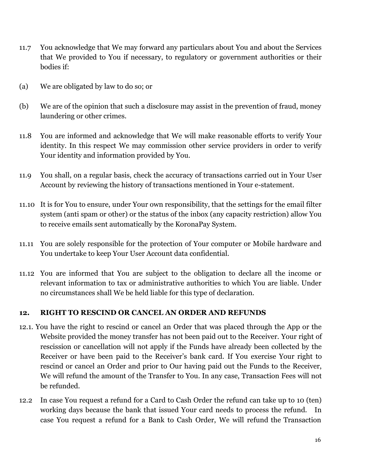- 11.7 You acknowledge that We may forward any particulars about You and about the Services that We provided to You if necessary, to regulatory or government authorities or their bodies if:
- (a) We are obligated by law to do so; or
- (b) We are of the opinion that such a disclosure may assist in the prevention of fraud, money laundering or other crimes.
- 11.8 You are informed and acknowledge that We will make reasonable efforts to verify Your identity. In this respect We may commission other service providers in order to verify Your identity and information provided by You.
- 11.9 You shall, on a regular basis, check the accuracy of transactions carried out in Your User Account by reviewing the history of transactions mentioned in Your e-statement.
- 11.10 It is for You to ensure, under Your own responsibility, that the settings for the email filter system (anti spam or other) or the status of the inbox (any capacity restriction) allow You to receive emails sent automatically by the KoronaPay System.
- 11.11 You are solely responsible for the protection of Your computer or Mobile hardware and You undertake to keep Your User Account data confidential.
- 11.12 You are informed that You are subject to the obligation to declare all the income or relevant information to tax or administrative authorities to which You are liable. Under no circumstances shall We be held liable for this type of declaration.

# **12. RIGHT TO RESCIND OR CANCEL AN ORDER AND REFUNDS**

- 12.1. You have the right to rescind or cancel an Order that was placed through the App or the Website provided the money transfer has not been paid out to the Receiver. Your right of rescission or cancellation will not apply if the Funds have already been collected by the Receiver or have been paid to the Receiver's bank card. If You exercise Your right to rescind or cancel an Order and prior to Our having paid out the Funds to the Receiver, We will refund the amount of the Transfer to You. In any case, Transaction Fees will not be refunded.
- 12.2 In case You request a refund for a Card to Cash Order the refund can take up to 10 (ten) working days because the bank that issued Your card needs to process the refund. In case You request a refund for a Bank to Cash Order, We will refund the Transaction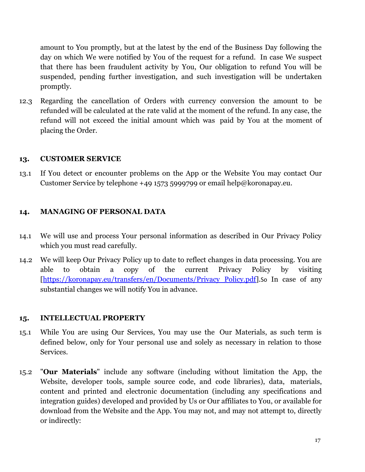amount to You promptly, but at the latest by the end of the Business Day following the day on which We were notified by You of the request for a refund. In case We suspect that there has been fraudulent activity by You, Our obligation to refund You will be suspended, pending further investigation, and such investigation will be undertaken promptly.

12.3 Regarding the cancellation of Orders with currency conversion the amount to be refunded will be calculated at the rate valid at the moment of the refund. In any case, the refund will not exceed the initial amount which was paid by You at the moment of placing the Order.

### **13. CUSTOMER SERVICE**

13.1 If You detect or encounter problems on the App or the Website You may contact Our Customer Service by telephone +49 1573 5999799 or email [help@koronapay.eu.](mailto:help@koronapay.eu)

# **14. MANAGING OF PERSONAL DATA**

- 14.1 We will use and process Your personal information as described in Our Privacy Policy which you must read carefully.
- 14.2 We will keep Our Privacy Policy up to date to reflect changes in data processing. You are able to obtain a copy of the current Privacy Policy by visiting [\[https://koronapay.eu/transfers/en/Documents/Privacy\\_Policy.pdf\]](https://koronapay.eu/transfers/en/Documents/Privacy_Policy.pdf).So In case of any substantial changes we will notify You in advance.

# **15. INTELLECTUAL PROPERTY**

- 15.1 While You are using Our Services, You may use the Our Materials, as such term is defined below, only for Your personal use and solely as necessary in relation to those Services.
- 15.2 "**Our Materials**" include any software (including without limitation the App, the Website, developer tools, sample source code, and code libraries), data, materials, content and printed and electronic documentation (including any specifications and integration guides) developed and provided by Us or Our affiliates to You, or available for download from the Website and the App. You may not, and may not attempt to, directly or indirectly: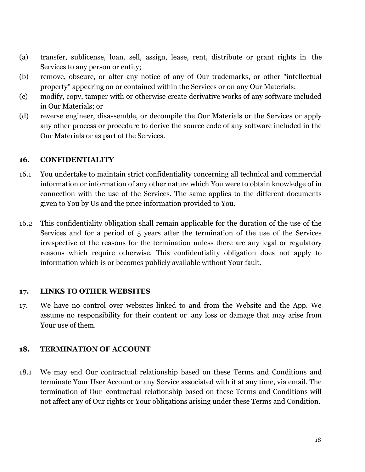- (a) transfer, sublicense, loan, sell, assign, lease, rent, distribute or grant rights in the Services to any person or entity;
- (b) remove, obscure, or alter any notice of any of Our trademarks, or other "intellectual property" appearing on or contained within the Services or on any Our Materials;
- (c) modify, copy, tamper with or otherwise create derivative works of any software included in Our Materials; or
- (d) reverse engineer, disassemble, or decompile the Our Materials or the Services or apply any other process or procedure to derive the source code of any software included in the Our Materials or as part of the Services.

# **16. CONFIDENTIALITY**

- 16.1 You undertake to maintain strict confidentiality concerning all technical and commercial information or information of any other nature which You were to obtain knowledge of in connection with the use of the Services. The same applies to the different documents given to You by Us and the price information provided to You.
- 16.2 This confidentiality obligation shall remain applicable for the duration of the use of the Services and for a period of 5 years after the termination of the use of the Services irrespective of the reasons for the termination unless there are any legal or regulatory reasons which require otherwise. This confidentiality obligation does not apply to information which is or becomes publicly available without Your fault.

# **17. LINKS TO OTHER WEBSITES**

17. We have no control over websites linked to and from the Website and the App. We assume no responsibility for their content or any loss or damage that may arise from Your use of them.

# **18. TERMINATION OF ACCOUNT**

18.1 We may end Our contractual relationship based on these Terms and Conditions and terminate Your User Account or any Service associated with it at any time, via email. The termination of Our contractual relationship based on these Terms and Conditions will not affect any of Our rights or Your obligations arising under these Terms and Condition.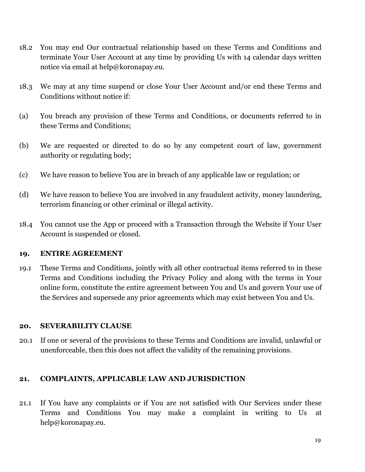- 18.2 You may end Our contractual relationship based on these Terms and Conditions and terminate Your User Account at any time by providing Us with 14 calendar days written notice via email at [help@koronapay.eu.](mailto:help@koronapay.eu)
- 18.3 We may at any time suspend or close Your User Account and/or end these Terms and Conditions without notice if:
- (a) You breach any provision of these Terms and Conditions, or documents referred to in these Terms and Conditions;
- (b) We are requested or directed to do so by any competent court of law, government authority or regulating body;
- (c) We have reason to believe You are in breach of any applicable law or regulation; or
- (d) We have reason to believe You are involved in any fraudulent activity, money laundering, terrorism financing or other criminal or illegal activity.
- 18.4 You cannot use the App or proceed with a Transaction through the Website if Your User Account is suspended or closed.

#### **19. ENTIRE AGREEMENT**

19.1 These Terms and Conditions, jointly with all other contractual items referred to in these Terms and Conditions including the Privacy Policy and along with the terms in Your online form, constitute the entire agreement between You and Us and govern Your use of the Services and supersede any prior agreements which may exist between You and Us.

#### **20. SEVERABILITY CLAUSE**

20.1 If one or several of the provisions to these Terms and Conditions are invalid, unlawful or unenforceable, then this does not affect the validity of the remaining provisions.

# **21. COMPLAINTS, APPLICABLE LAW AND JURISDICTION**

21.1 If You have any complaints or if You are not satisfied with Our Services under these Terms and Conditions You may make a complaint in writing to Us at [help@koronapay.eu.](mailto:help@koronapay.eu)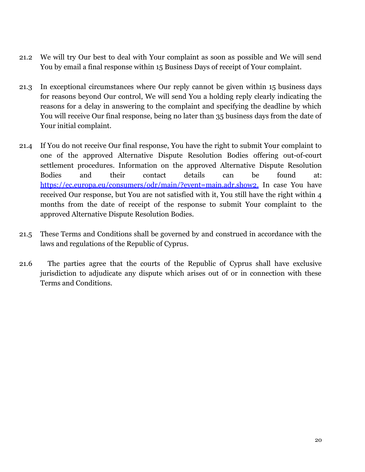- 21.2 We will try Our best to deal with Your complaint as soon as possible and We will send You by email a final response within 15 Business Days of receipt of Your complaint.
- 21.3 In exceptional circumstances where Our reply cannot be given within 15 business days for reasons beyond Our control, We will send You a holding reply clearly indicating the reasons for a delay in answering to the complaint and specifying the deadline by which You will receive Our final response, being no later than 35 business days from the date of Your initial complaint.
- 21.4 If You do not receive Our final response, You have the right to submit Your complaint to one of the approved Alternative Dispute Resolution Bodies offering out-of-court settlement procedures. Information on the approved Alternative Dispute Resolution Bodies and their contact details can be found at: [https://ec.europa.eu/consumers/odr/main/?event=main.adr.show2.](https://ec.europa.eu/consumers/odr/main/?event=main.adr.show2) In case You have received Our response, but You are not satisfied with it, You still have the right within 4 months from the date of receipt of the response to submit Your complaint to the approved Alternative Dispute Resolution Bodies.
- 21.5 These Terms and Conditions shall be governed by and construed in accordance with the laws and regulations of the Republic of Cyprus.
- 21.6 The parties agree that the courts of the Republic of Cyprus shall have exclusive jurisdiction to adjudicate any dispute which arises out of or in connection with these Terms and Conditions.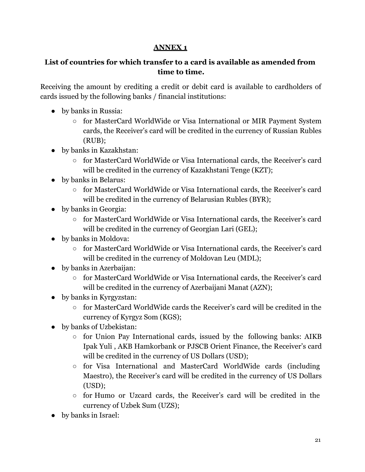# **ANNEX 1**

# **List of countries for which transfer to a card is available as amended from time to time.**

Receiving the amount by crediting a credit or debit card is available to cardholders of cards issued by the following banks / financial institutions:

- by banks in Russia:
	- for MasterCard WorldWide or Visa International or MIR Payment System cards, the Receiver's card will be credited in the currency of Russian Rubles (RUB);
- by banks in Kazakhstan:
	- for MasterCard WorldWide or Visa International cards, the Receiver's card will be credited in the currency of Kazakhstani Tenge (KZT);
- by banks in Belarus:
	- for MasterCard WorldWide or Visa International cards, the Receiver's card will be credited in the currency of Belarusian Rubles (BYR);
- by banks in Georgia:
	- for MasterCard WorldWide or Visa International cards, the Receiver's card will be credited in the currency of Georgian Lari (GEL);
- by banks in Moldova:
	- for MasterCard WorldWide or Visa International cards, the Receiver's card will be credited in the currency of Moldovan Leu (MDL);
- by banks in Azerbaijan:
	- for MasterCard WorldWide or Visa International cards, the Receiver's card will be credited in the currency of Azerbaijani Manat (AZN);
- by banks in Kyrgyzstan:
	- $\circ$  for MasterCard WorldWide cards the Receiver's card will be credited in the currency of Kyrgyz Som (KGS);
- by banks of Uzbekistan:
	- for Union Pay International cards, issued by the following banks: AIKB Ipak Yuli , AKB Hamkorbank or PJSCB Orient Finance, the Receiver's card will be credited in the currency of US Dollars (USD);
	- for Visa International and MasterCard WorldWide cards (including Maestro), the Receiver's card will be credited in the currency of US Dollars (USD);
	- for Humo or Uzcard cards, the Receiver's card will be credited in the currency of Uzbek Sum (UZS);
- by banks in Israel: